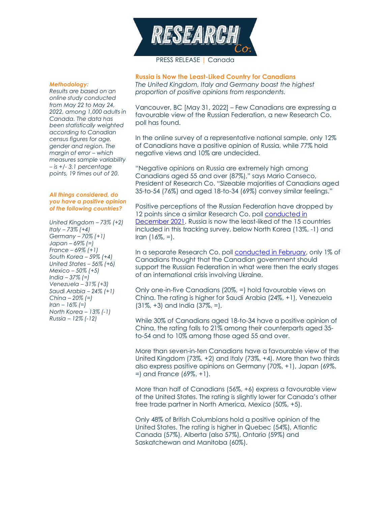

## PRESS RELEASE | Canada

#### *Methodology:*

*Results are based on an online study conducted from May 22 to May 24, 2022, among 1,000 adults in Canada. The data has been statistically weighted according to Canadian census figures for age, gender and region. The margin of error –* which *measures sample variability – is +/- 3.1 percentage points, 19 times out of 20.*

### *All things considered, do you have a positive opinion of the following countries?*

*United Kingdom – 73% (+2) Italy – 73% (+4) Germany – 70% (+1) Japan – 69% (=) France – 69% (+1) South Korea – 59% (+4) United States – 56% (+6) Mexico – 50% (+5) India – 37% (=) Venezuela – 31% (+3) Saudi Arabia – 24% (+1) China – 20% (=) Iran – 16% (=) North Korea – 13% (-1) Russia – 12% (-12)*

**Russia is Now the Least-Liked Country for Canadians** *The United Kingdom, Italy and Germany boast the highest proportion of positive opinions from respondents.*

Vancouver, BC [May 31, 2022] – Few Canadians are expressing a favourable view of the Russian Federation, a new Research Co. poll has found.

In the online survey of a representative national sample, only 12% of Canadians have a positive opinion of Russia, while 77% hold negative views and 10% are undecided.

"Negative opinions on Russia are extremely high among Canadians aged 55 and over (87%)," says Mario Canseco, President of Research Co. "Sizeable majorities of Canadians aged 35-to-54 (76%) and aged 18-to-34 (69%) convey similar feelings."

Positive perceptions of the Russian Federation have dropped by 12 points since a similar Research Co. poll [conducted in](https://researchco.ca/2022/01/07/countries-canada/)  [December 2021.](https://researchco.ca/2022/01/07/countries-canada/) Russia is now the least-liked of the 15 countries included in this tracking survey, below North Korea (13%, -1) and Iran  $(16\%, =)$ .

In a separate Research Co. poll **conducted in February**, only 1% of Canadians thought that the Canadian government should support the Russian Federation in what were then the early stages of an international crisis involving Ukraine.

Only one-in-five Canadians (20%, =) hold favourable views on China. The rating is higher for Saudi Arabia (24%, +1), Venezuela (31%, +3) and India (37%, =).

While 30% of Canadians aged 18-to-34 have a positive opinion of China, the rating falls to 21% among their counterparts aged 35 to-54 and to 10% among those aged 55 and over.

More than seven-in-ten Canadians have a favourable view of the United Kingdom (73%, +2) and Italy (73%, +4). More than two thirds also express positive opinions on Germany (70%, +1), Japan (69%, =) and France (69%, +1).

More than half of Canadians (56%, +6) express a favourable view of the United States. The rating is slightly lower for Canada's other free trade partner in North America, Mexico (50%, +5).

Only 48% of British Columbians hold a positive opinion of the United States. The rating is higher in Quebec (54%), Atlantic Canada (57%), Alberta (also 57%), Ontario (59%) and Saskatchewan and Manitoba (60%).